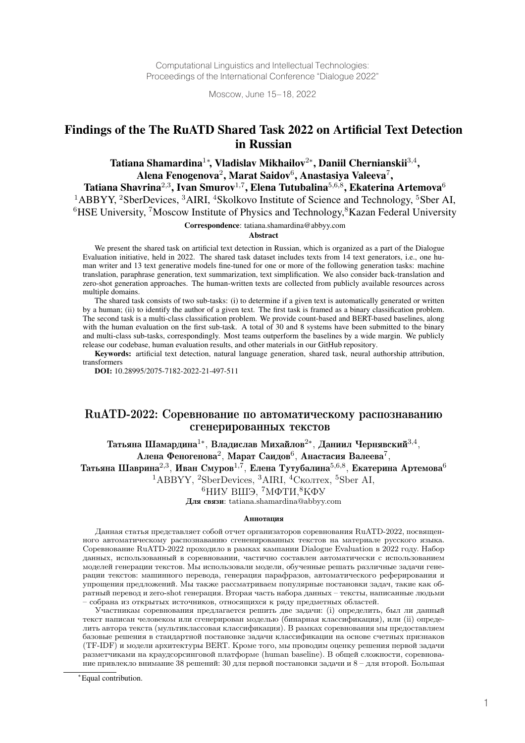Computational Linguistics and Intellectual Technologies: Proceedings of the International Conference "Dialogue 2022"

Moscow, June 15–18, 2022

# Findings of the The RuATD Shared Task 2022 on Artificial Text Detection in Russian

Tatiana Shamardina $^{1*}$ , Vladislav Mikhailov $^{2*}$ , Daniil Chernianskii $^{3,4}$ , Alena Fenogenova<sup>2</sup>, Marat Saidov<sup>6</sup>, Anastasiya Valeeva<sup>7</sup>,

Tatiana Shavrina<sup>2,3</sup>, Ivan Smurov<sup>1,7</sup>, Elena Tutubalina<sup>5,6,8</sup>, Ekaterina Artemova<sup>6</sup> <sup>1</sup>ABBYY, <sup>2</sup>SberDevices, <sup>3</sup>AIRI, <sup>4</sup>Skolkovo Institute of Science and Technology, <sup>5</sup>Sber AI,  $6HSE$  University, <sup>7</sup>Moscow Institute of Physics and Technology,  $8Kazan$  Federal University

Correspondence: tatiana.shamardina@abbyy.com

#### Abstract

We present the shared task on artificial text detection in Russian, which is organized as a part of the Dialogue Evaluation initiative, held in 2022. The shared task dataset includes texts from 14 text generators, i.e., one human writer and 13 text generative models fine-tuned for one or more of the following generation tasks: machine translation, paraphrase generation, text summarization, text simplification. We also consider back-translation and zero-shot generation approaches. The human-written texts are collected from publicly available resources across multiple domains.

The shared task consists of two sub-tasks: (i) to determine if a given text is automatically generated or written by a human; (ii) to identify the author of a given text. The first task is framed as a binary classification problem. The second task is a multi-class classification problem. We provide count-based and BERT-based baselines, along with the human evaluation on the first sub-task. A total of 30 and 8 systems have been submitted to the binary and multi-class sub-tasks, correspondingly. Most teams outperform the baselines by a wide margin. We publicly release our codebase, human evaluation results, and other materials in our GitHub repository.

Keywords: artificial text detection, natural language generation, shared task, neural authorship attribution, transformers

DOI: 10.28995/2075-7182-2022-21-497-511

## RuATD-2022: Соревнование по автоматическому распознаванию сгенерированных текстов

Татьяна Шамардина<sup>1\*</sup>, Владислав Михайлов<sup>2\*</sup>, Даниил Чернявский<sup>3,4</sup>,

Алена Феногенова<sup>2</sup>, Марат Саидов<sup>6</sup>, Анастасия Валеева<sup>7</sup>,

Татьяна Шаврина<sup>2,3</sup>, Иван Смуров<sup>1,7</sup>, Елена Тутубалина<sup>5,6,8</sup>, Екатерина Артемова<sup>6</sup>

<sup>1</sup>ABBYY, <sup>2</sup>SberDevices, <sup>3</sup>AIRI, <sup>4</sup>Сколтех, <sup>5</sup>Sber AI,

 $6H$ ИУ ВШЭ,  $7M\Phi$ ТИ, $8K\Phi$ У

Для связи: tatiana.shamardina@abbyy.com

#### Аннотация

Данная статья представляет собой отчет организаторов соревнования RuATD-2022, посвященного автоматическому распознаванию сгененированных текстов на материале русского языка. Соревнование RuATD-2022 проходило в рамках кампании Dialogue Evaluation в 2022 году. Набор данных, использованный в соревновании, частично составлен автоматически с использованием моделей генерации текстов. Мы использовали модели, обученные решать различные задачи генерации текстов: машинного перевода, генерация парафразов, автоматического реферирования и упрощения предложений. Мы также рассматриваем популярные постановки задач, такие как обратный перевод и zero-shot генерация. Вторая часть набора данных – тексты, написанные людьми – собрана из открытых источников, относящихся к ряду предметных областей.

Участникам соревнования предлагается решить две задачи: (i) определить, был ли данный текст написан человеком или сгенерирован моделью (бинарная классификация), или (ii) определить автора текста (мультиклассовая классификация). В рамках соревнования мы предоставляем базовые решения в стандартной постановке задачи классификации на основе счетных признаков (TF-IDF) и модели архитектуры BERT. Кроме того, мы проводим оценку решения первой задачи разметчиками на краудсорсинговой платформе (human baseline). В общей сложности, соревнование привлекло внимание 38 решений: 30 для первой постановки задачи и 8 – для второй. Большая

<sup>\*</sup>Equal contribution.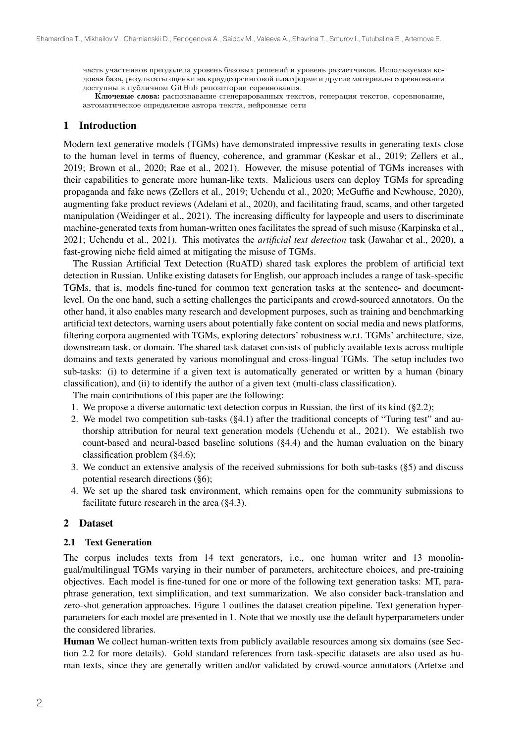часть участников преодолела уровень базовых решений и уровень разметчиков. Используемая кодовая база, результаты оценки на краудсорсинговой платформе и другие материалы соревнования доступны в публичном GitHub репозитории соревнования.

Ключевые слова: распознавание сгенерированных текстов, генерация текстов, соревнование, автоматическое определение автора текста, нейронные сети

### 1 Introduction

Modern text generative models (TGMs) have demonstrated impressive results in generating texts close to the human level in terms of fluency, coherence, and grammar (Keskar et al., 2019; Zellers et al., 2019; Brown et al., 2020; Rae et al., 2021). However, the misuse potential of TGMs increases with their capabilities to generate more human-like texts. Malicious users can deploy TGMs for spreading propaganda and fake news (Zellers et al., 2019; Uchendu et al., 2020; McGuffie and Newhouse, 2020), augmenting fake product reviews (Adelani et al., 2020), and facilitating fraud, scams, and other targeted manipulation (Weidinger et al., 2021). The increasing difficulty for laypeople and users to discriminate machine-generated texts from human-written ones facilitates the spread of such misuse (Karpinska et al., 2021; Uchendu et al., 2021). This motivates the *artificial text detection* task (Jawahar et al., 2020), a fast-growing niche field aimed at mitigating the misuse of TGMs.

The Russian Artificial Text Detection (RuATD) shared task explores the problem of artificial text detection in Russian. Unlike existing datasets for English, our approach includes a range of task-specific TGMs, that is, models fine-tuned for common text generation tasks at the sentence- and documentlevel. On the one hand, such a setting challenges the participants and crowd-sourced annotators. On the other hand, it also enables many research and development purposes, such as training and benchmarking artificial text detectors, warning users about potentially fake content on social media and news platforms, filtering corpora augmented with TGMs, exploring detectors' robustness w.r.t. TGMs' architecture, size, downstream task, or domain. The shared task dataset consists of publicly available texts across multiple domains and texts generated by various monolingual and cross-lingual TGMs. The setup includes two sub-tasks: (i) to determine if a given text is automatically generated or written by a human (binary classification), and (ii) to identify the author of a given text (multi-class classification).

The main contributions of this paper are the following:

- 1. We propose a diverse automatic text detection corpus in Russian, the first of its kind (§2.2);
- 2. We model two competition sub-tasks (§4.1) after the traditional concepts of "Turing test" and authorship attribution for neural text generation models (Uchendu et al., 2021). We establish two count-based and neural-based baseline solutions (§4.4) and the human evaluation on the binary classification problem (§4.6);
- 3. We conduct an extensive analysis of the received submissions for both sub-tasks (§5) and discuss potential research directions (§6);
- 4. We set up the shared task environment, which remains open for the community submissions to facilitate future research in the area (§4.3).

### 2 Dataset

#### 2.1 Text Generation

The corpus includes texts from 14 text generators, i.e., one human writer and 13 monolingual/multilingual TGMs varying in their number of parameters, architecture choices, and pre-training objectives. Each model is fine-tuned for one or more of the following text generation tasks: MT, paraphrase generation, text simplification, and text summarization. We also consider back-translation and zero-shot generation approaches. Figure 1 outlines the dataset creation pipeline. Text generation hyperparameters for each model are presented in 1. Note that we mostly use the default hyperparameters under the considered libraries.

Human We collect human-written texts from publicly available resources among six domains (see Section 2.2 for more details). Gold standard references from task-specific datasets are also used as human texts, since they are generally written and/or validated by crowd-source annotators (Artetxe and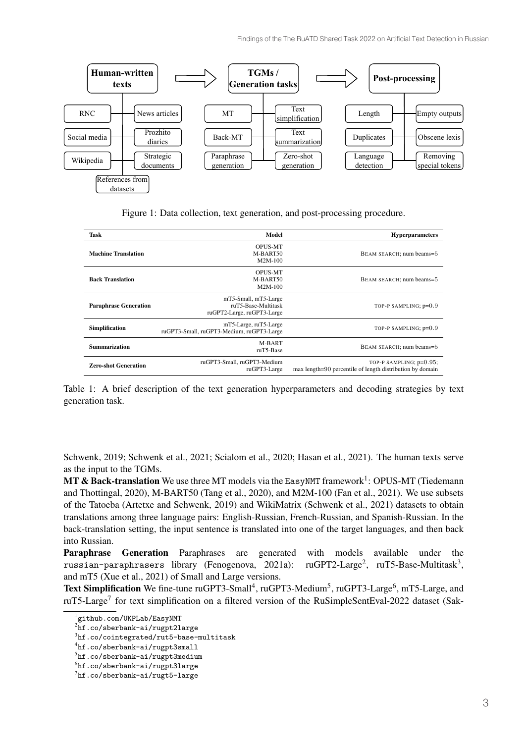

Figure 1: Data collection, text generation, and post-processing procedure.

| Task                         | Model                                                                     | <b>Hyperparameters</b>                                                               |
|------------------------------|---------------------------------------------------------------------------|--------------------------------------------------------------------------------------|
| <b>Machine Translation</b>   | <b>OPUS-MT</b><br>M-BART50<br>$M2M-100$                                   | BEAM SEARCH; num beams=5                                                             |
| <b>Back Translation</b>      | <b>OPUS-MT</b><br>M-BART50<br>M2M-100                                     | BEAM SEARCH; num beams=5                                                             |
| <b>Paraphrase Generation</b> | mT5-Small, mT5-Large<br>ruT5-Base-Multitask<br>ruGPT2-Large, ruGPT3-Large | TOP-P SAMPLING; p=0.9                                                                |
| <b>Simplification</b>        | mT5-Large, ruT5-Large<br>ruGPT3-Small, ruGPT3-Medium, ruGPT3-Large        | TOP-P SAMPLING; p=0.9                                                                |
| <b>Summarization</b>         | M-BART<br>ruT5-Base                                                       | BEAM SEARCH; num beams=5                                                             |
| <b>Zero-shot Generation</b>  | ruGPT3-Small, ruGPT3-Medium<br>ruGPT3-Large                               | TOP-P SAMPLING; p=0.95;<br>max length=90 percentile of length distribution by domain |

Table 1: A brief description of the text generation hyperparameters and decoding strategies by text generation task.

Schwenk, 2019; Schwenk et al., 2021; Scialom et al., 2020; Hasan et al., 2021). The human texts serve as the input to the TGMs.

**MT & Back-translation** We use three MT models via the EasyNMT framework<sup>1</sup>: OPUS-MT (Tiedemann and Thottingal, 2020), M-BART50 (Tang et al., 2020), and M2M-100 (Fan et al., 2021). We use subsets of the Tatoeba (Artetxe and Schwenk, 2019) and WikiMatrix (Schwenk et al., 2021) datasets to obtain translations among three language pairs: English-Russian, French-Russian, and Spanish-Russian. In the back-translation setting, the input sentence is translated into one of the target languages, and then back into Russian.

Paraphrase Generation Paraphrases are generated with models available under the russian-paraphrasers library (Fenogenova, 2021a):  $\text{ruGPT2-Large}^2$ ,  $\text{ruT5-Base-Multitask}^3$ , and mT5 (Xue et al., 2021) of Small and Large versions.

Text Simplification We fine-tune ruGPT3-Small<sup>4</sup>, ruGPT3-Medium<sup>5</sup>, ruGPT3-Large<sup>6</sup>, mT5-Large, and ruT5-Large<sup>7</sup> for text simplification on a filtered version of the RuSimpleSentEval-2022 dataset (Sak-

<sup>1</sup> github.com/UKPLab/EasyNMT

 $^2$ hf.co/sberbank-ai/rugpt $21$ arge

 $^3$ hf.co/cointegrated/rut5-base-multitask

<sup>4</sup> hf.co/sberbank-ai/rugpt3small

 $^{5}$ hf.co/sberbank-ai/rugpt3medium

 $^6$ hf.co/sberbank-ai/rugpt3large

 $^{7}$ hf.co/sberbank-ai/rugt5-large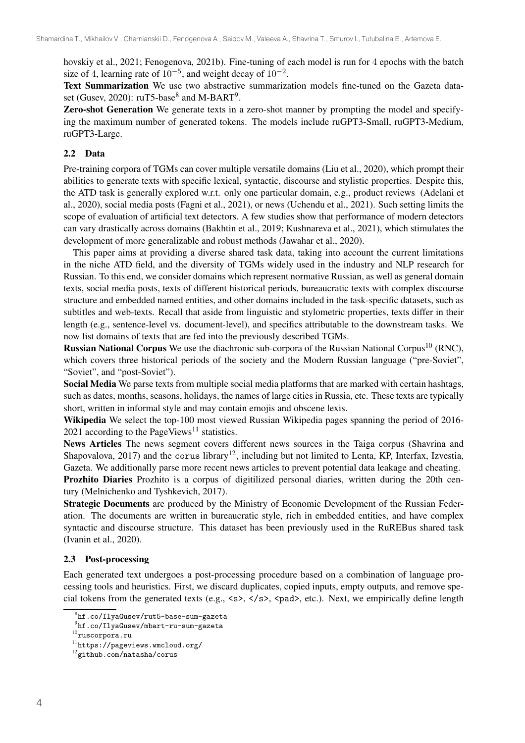hovskiy et al., 2021; Fenogenova, 2021b). Fine-tuning of each model is run for 4 epochs with the batch size of 4, learning rate of  $10^{-5}$ , and weight decay of  $10^{-2}$ .

Text Summarization We use two abstractive summarization models fine-tuned on the Gazeta dataset (Gusev, 2020):  $\text{ruT5-base}^8$  and M-BART<sup>9</sup>.

Zero-shot Generation We generate texts in a zero-shot manner by prompting the model and specifying the maximum number of generated tokens. The models include ruGPT3-Small, ruGPT3-Medium, ruGPT3-Large.

## 2.2 Data

Pre-training corpora of TGMs can cover multiple versatile domains (Liu et al., 2020), which prompt their abilities to generate texts with specific lexical, syntactic, discourse and stylistic properties. Despite this, the ATD task is generally explored w.r.t. only one particular domain, e.g., product reviews (Adelani et al., 2020), social media posts (Fagni et al., 2021), or news (Uchendu et al., 2021). Such setting limits the scope of evaluation of artificial text detectors. A few studies show that performance of modern detectors can vary drastically across domains (Bakhtin et al., 2019; Kushnareva et al., 2021), which stimulates the development of more generalizable and robust methods (Jawahar et al., 2020).

This paper aims at providing a diverse shared task data, taking into account the current limitations in the niche ATD field, and the diversity of TGMs widely used in the industry and NLP research for Russian. To this end, we consider domains which represent normative Russian, as well as general domain texts, social media posts, texts of different historical periods, bureaucratic texts with complex discourse structure and embedded named entities, and other domains included in the task-specific datasets, such as subtitles and web-texts. Recall that aside from linguistic and stylometric properties, texts differ in their length (e.g., sentence-level vs. document-level), and specifics attributable to the downstream tasks. We now list domains of texts that are fed into the previously described TGMs.

**Russian National Corpus** We use the diachronic sub-corpora of the Russian National Corpus<sup>10</sup> (RNC), which covers three historical periods of the society and the Modern Russian language ("pre-Soviet", "Soviet", and "post-Soviet").

Social Media We parse texts from multiple social media platforms that are marked with certain hashtags, such as dates, months, seasons, holidays, the names of large cities in Russia, etc. These texts are typically short, written in informal style and may contain emojis and obscene lexis.

Wikipedia We select the top-100 most viewed Russian Wikipedia pages spanning the period of 2016- 2021 according to the PageViews<sup>11</sup> statistics.

News Articles The news segment covers different news sources in the Taiga corpus (Shavrina and Shapovalova, 2017) and the corus library<sup>12</sup>, including but not limited to Lenta, KP, Interfax, Izvestia, Gazeta. We additionally parse more recent news articles to prevent potential data leakage and cheating.

Prozhito Diaries Prozhito is a corpus of digitilized personal diaries, written during the 20th century (Melnichenko and Tyshkevich, 2017).

Strategic Documents are produced by the Ministry of Economic Development of the Russian Federation. The documents are written in bureaucratic style, rich in embedded entities, and have complex syntactic and discourse structure. This dataset has been previously used in the RuREBus shared task (Ivanin et al., 2020).

### 2.3 Post-processing

Each generated text undergoes a post-processing procedure based on a combination of language processing tools and heuristics. First, we discard duplicates, copied inputs, empty outputs, and remove special tokens from the generated texts (e.g.,  $\langle s \rangle$ ,  $\langle s \rangle$ ,  $\langle p$  ad  $\rangle$ , etc.). Next, we empirically define length

 $^8{\rm hf}$ .co/IlyaGusev/rut5-base-sum-gazeta

 $^{9}$ hf.co/IlyaGusev/mbart-ru-sum-gazeta

 $^{10}\!$ ruscorpora.ru

 $11$ https://pageviews.wmcloud.org/

<sup>12</sup>github.com/natasha/corus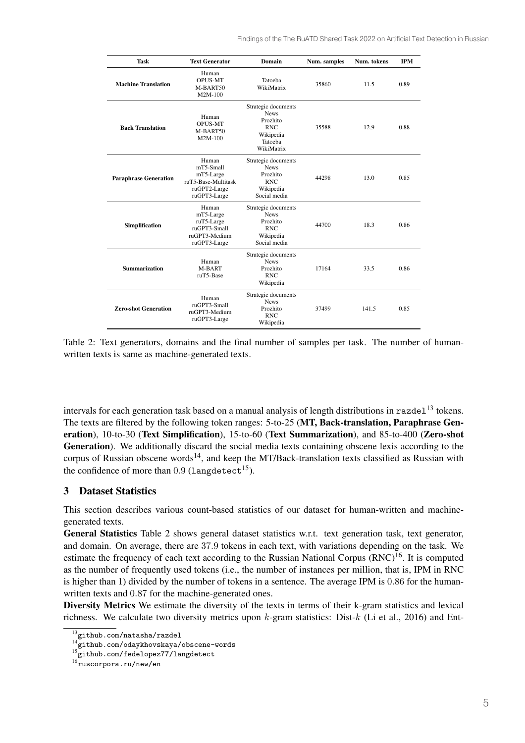| <b>Task</b>                  | <b>Text Generator</b>                                                                  | Domain                                                                                             | Num. samples | Num. tokens | <b>IPM</b> |
|------------------------------|----------------------------------------------------------------------------------------|----------------------------------------------------------------------------------------------------|--------------|-------------|------------|
| <b>Machine Translation</b>   | Human<br><b>OPUS-MT</b><br>M-BART50<br>M2M-100                                         | Tatoeba<br>WikiMatrix                                                                              | 35860        | 11.5        | 0.89       |
| <b>Back Translation</b>      | Human<br><b>OPUS-MT</b><br>M-BART50<br>$M2M-100$                                       | Strategic documents<br><b>News</b><br>Prozhito<br><b>RNC</b><br>Wikipedia<br>Tatoeba<br>WikiMatrix | 35588        | 12.9        | 0.88       |
| <b>Paraphrase Generation</b> | Human<br>mT5-Small<br>mT5-Large<br>ruT5-Base-Multitask<br>ruGPT2-Large<br>ruGPT3-Large | Strategic documents<br><b>News</b><br>Prozhito<br><b>RNC</b><br>Wikipedia<br>Social media          | 44298        | 13.0        | 0.85       |
| Simplification               | Human<br>mT5-Large<br>ruT5-Large<br>ruGPT3-Small<br>ruGPT3-Medium<br>ruGPT3-Large      | Strategic documents<br><b>News</b><br>Prozhito<br><b>RNC</b><br>Wikipedia<br>Social media          | 44700        | 18.3        | 0.86       |
| <b>Summarization</b>         | Human<br>M-BART<br>ruT5-Base                                                           | Strategic documents<br><b>News</b><br>Prozhito<br><b>RNC</b><br>Wikipedia                          | 17164        | 33.5        | 0.86       |
| <b>Zero-shot Generation</b>  | Human<br>ruGPT3-Small<br>ruGPT3-Medium<br>ruGPT3-Large                                 | Strategic documents<br><b>News</b><br>Prozhito<br><b>RNC</b><br>Wikipedia                          | 37499        | 141.5       | 0.85       |

Table 2: Text generators, domains and the final number of samples per task. The number of humanwritten texts is same as machine-generated texts.

intervals for each generation task based on a manual analysis of length distributions in  $\text{razde}1^{13}$  tokens. The texts are filtered by the following token ranges: 5-to-25 (MT, Back-translation, Paraphrase Generation), 10-to-30 (Text Simplification), 15-to-60 (Text Summarization), and 85-to-400 (Zero-shot Generation). We additionally discard the social media texts containing obscene lexis according to the corpus of Russian obscene words<sup>14</sup>, and keep the MT/Back-translation texts classified as Russian with the confidence of more than  $0.9$  (langdetect<sup>15</sup>).

## 3 Dataset Statistics

This section describes various count-based statistics of our dataset for human-written and machinegenerated texts.

General Statistics Table 2 shows general dataset statistics w.r.t. text generation task, text generator, and domain. On average, there are 37.9 tokens in each text, with variations depending on the task. We estimate the frequency of each text according to the Russian National Corpus (RNC)<sup>16</sup>. It is computed as the number of frequently used tokens (i.e., the number of instances per million, that is, IPM in RNC is higher than 1) divided by the number of tokens in a sentence. The average IPM is 0.86 for the humanwritten texts and 0.87 for the machine-generated ones.

Diversity Metrics We estimate the diversity of the texts in terms of their k-gram statistics and lexical richness. We calculate two diversity metrics upon  $k$ -gram statistics: Dist- $k$  (Li et al., 2016) and Ent-

<sup>&</sup>lt;sup>13</sup>github.com/natasha/razdel

 $14$ github.com/odaykhovskaya/obscene-words

 $^5$ github.com/fedelopez $77/$ langdetect

 $16$ ruscorpora.ru/new/en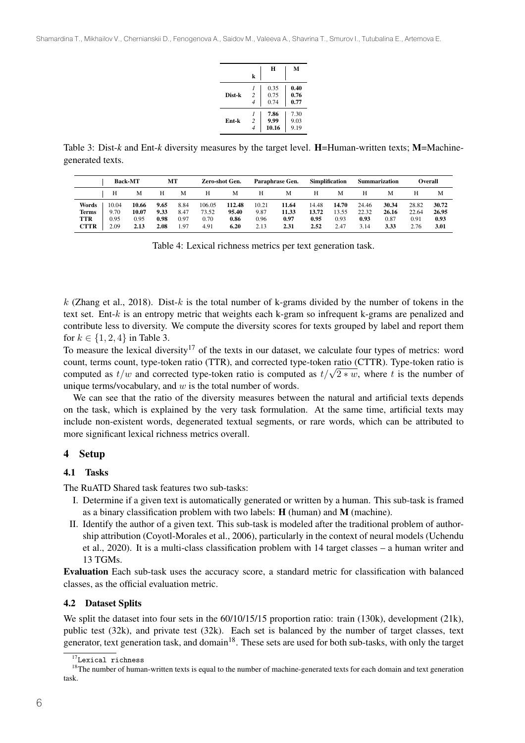|        | k                                | H                     | М                    |
|--------|----------------------------------|-----------------------|----------------------|
| Dist-k | $\overline{2}$<br>$\overline{4}$ | 0.35<br>0.75<br>0.74  | 0.40<br>0.76<br>0.77 |
| Ent-k  | $\overline{2}$<br>$\overline{4}$ | 7.86<br>9.99<br>10.16 | 7.30<br>9.03<br>9.19 |

Table 3: Dist-*k* and Ent-*k* diversity measures by the target level. H=Human-written texts; M=Machinegenerated texts.

|                                             |                               | <b>Back-MT</b>                 |                              | MТ                           |                                 | Zero-shot Gen.                  |                               | Paraphrase Gen.                | <b>Simplification</b>          |                                |                                | Summarization                  |                                | <b>Overall</b>                 |
|---------------------------------------------|-------------------------------|--------------------------------|------------------------------|------------------------------|---------------------------------|---------------------------------|-------------------------------|--------------------------------|--------------------------------|--------------------------------|--------------------------------|--------------------------------|--------------------------------|--------------------------------|
|                                             | Н                             | М                              | н                            | M                            | н                               | М                               | Н                             | М                              | Н                              | М                              | Н                              | M                              | н                              | м                              |
| Words<br><b>Terms</b><br>TTR<br><b>CTTR</b> | 10.04<br>9.70<br>0.95<br>2.09 | 10.66<br>10.07<br>0.95<br>2.13 | 9.65<br>9.33<br>0.98<br>2.08 | 8.84<br>8.47<br>0.97<br>1.97 | 106.05<br>73.52<br>0.70<br>4.91 | 112.48<br>95.40<br>0.86<br>6.20 | 10.21<br>9.87<br>0.96<br>2.13 | 11.64<br>11.33<br>0.97<br>2.31 | 14.48<br>13.72<br>0.95<br>2.52 | 14.70<br>13.55<br>0.93<br>2.47 | 24.46<br>22.32<br>0.93<br>3.14 | 30.34<br>26.16<br>0.87<br>3.33 | 28.82<br>22.64<br>0.91<br>2.76 | 30.72<br>26.95<br>0.93<br>3.01 |

Table 4: Lexical richness metrics per text generation task.

 $k$  (Zhang et al., 2018). Dist- $k$  is the total number of k-grams divided by the number of tokens in the text set. Ent- $k$  is an entropy metric that weights each k-gram so infrequent k-grams are penalized and contribute less to diversity. We compute the diversity scores for texts grouped by label and report them for  $k \in \{1, 2, 4\}$  in Table 3.

To measure the lexical diversity<sup>17</sup> of the texts in our dataset, we calculate four types of metrics: word count, terms count, type-token ratio (TTR), and corrected type-token ratio (CTTR). Type-token ratio is computed as  $t/w$  and corrected type-token ratio is computed as  $t/\sqrt{2*w}$ , where t is the number of unique terms/vocabulary, and  $w$  is the total number of words.

We can see that the ratio of the diversity measures between the natural and artificial texts depends on the task, which is explained by the very task formulation. At the same time, artificial texts may include non-existent words, degenerated textual segments, or rare words, which can be attributed to more significant lexical richness metrics overall.

#### 4 Setup

#### 4.1 Tasks

The RuATD Shared task features two sub-tasks:

- I. Determine if a given text is automatically generated or written by a human. This sub-task is framed as a binary classification problem with two labels:  $H$  (human) and  $M$  (machine).
- II. Identify the author of a given text. This sub-task is modeled after the traditional problem of authorship attribution (Coyotl-Morales et al., 2006), particularly in the context of neural models (Uchendu et al., 2020). It is a multi-class classification problem with 14 target classes – a human writer and 13 TGMs.

Evaluation Each sub-task uses the accuracy score, a standard metric for classification with balanced classes, as the official evaluation metric.

#### 4.2 Dataset Splits

We split the dataset into four sets in the 60/10/15/15 proportion ratio: train (130k), development (21k), public test (32k), and private test (32k). Each set is balanced by the number of target classes, text generator, text generation task, and domain<sup>18</sup>. These sets are used for both sub-tasks, with only the target

<sup>&</sup>lt;sup>17</sup>Lexical richness

<sup>&</sup>lt;sup>18</sup>The number of human-written texts is equal to the number of machine-generated texts for each domain and text generation task.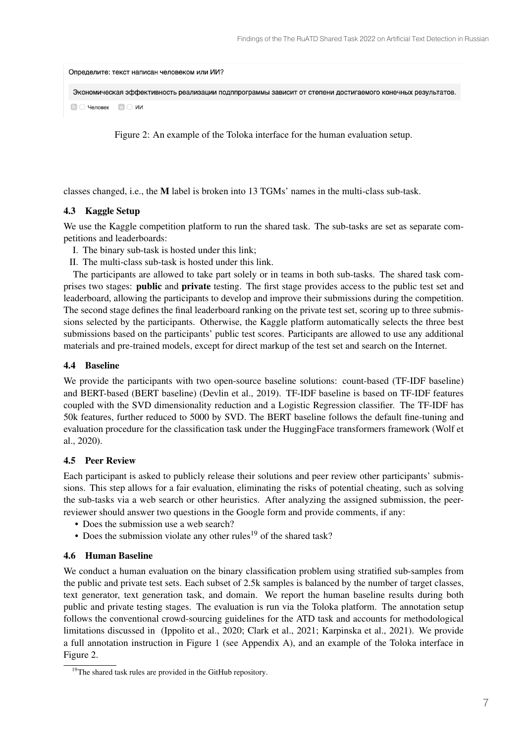| Определите: текст написан человеком или ИИ?                                                                |
|------------------------------------------------------------------------------------------------------------|
| Экономическая эффективность реализации подппрограммы зависит от степени достигаемого конечных результатов. |
| $\Box$ $\Box$ Человек $\Box$ $\Box$ ИИ                                                                     |

Figure 2: An example of the Toloka interface for the human evaluation setup.

classes changed, i.e., the M label is broken into 13 TGMs' names in the multi-class sub-task.

### 4.3 Kaggle Setup

We use the Kaggle competition platform to run the shared task. The sub-tasks are set as separate competitions and leaderboards:

- I. The binary sub-task is hosted under this link;
- II. The multi-class sub-task is hosted under this link.

The participants are allowed to take part solely or in teams in both sub-tasks. The shared task comprises two stages: public and private testing. The first stage provides access to the public test set and leaderboard, allowing the participants to develop and improve their submissions during the competition. The second stage defines the final leaderboard ranking on the private test set, scoring up to three submissions selected by the participants. Otherwise, the Kaggle platform automatically selects the three best submissions based on the participants' public test scores. Participants are allowed to use any additional materials and pre-trained models, except for direct markup of the test set and search on the Internet.

### 4.4 Baseline

We provide the participants with two open-source baseline solutions: count-based (TF-IDF baseline) and BERT-based (BERT baseline) (Devlin et al., 2019). TF-IDF baseline is based on TF-IDF features coupled with the SVD dimensionality reduction and a Logistic Regression classifier. The TF-IDF has 50k features, further reduced to 5000 by SVD. The BERT baseline follows the default fine-tuning and evaluation procedure for the classification task under the HuggingFace transformers framework (Wolf et al., 2020).

### 4.5 Peer Review

Each participant is asked to publicly release their solutions and peer review other participants' submissions. This step allows for a fair evaluation, eliminating the risks of potential cheating, such as solving the sub-tasks via a web search or other heuristics. After analyzing the assigned submission, the peerreviewer should answer two questions in the Google form and provide comments, if any:

- Does the submission use a web search?
- Does the submission violate any other rules<sup>19</sup> of the shared task?

## 4.6 Human Baseline

We conduct a human evaluation on the binary classification problem using stratified sub-samples from the public and private test sets. Each subset of 2.5k samples is balanced by the number of target classes, text generator, text generation task, and domain. We report the human baseline results during both public and private testing stages. The evaluation is run via the Toloka platform. The annotation setup follows the conventional crowd-sourcing guidelines for the ATD task and accounts for methodological limitations discussed in (Ippolito et al., 2020; Clark et al., 2021; Karpinska et al., 2021). We provide a full annotation instruction in Figure 1 (see Appendix A), and an example of the Toloka interface in Figure 2.

<sup>&</sup>lt;sup>19</sup>The shared task rules are provided in the GitHub repository.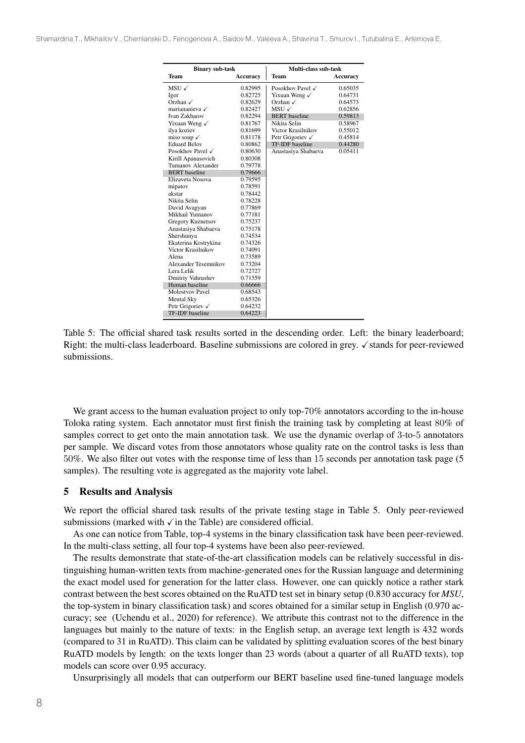| <b>Binary sub-task</b>   |                 | Multi-class sub-task        |                 |  |  |
|--------------------------|-----------------|-----------------------------|-----------------|--|--|
| Team                     | <b>Accuracy</b> | <b>Team</b>                 | <b>Accuracy</b> |  |  |
| MSU $\checkmark$         | 0.82995         | Posokhov Pavel √            | 0.65035         |  |  |
| Igor                     | 0.82725         | Yixuan Weng √               | 0.64731         |  |  |
| Orzhan $\checkmark$      | 0.82629         | Orzhan $\checkmark$         | 0.64573         |  |  |
| mariananieva √           | 0.82427         | $MSU \checkmark$            | 0.62856         |  |  |
| Ivan Zakharov            | 0.82294         | <b>BERT</b> baseline        | 0.59813         |  |  |
| Yixuan Weng √            | 0.81767         | Nikita Selin                | 0.58967         |  |  |
| ilya koziev              | 0.81699         | Victor Krasilnikov          | 0.55012         |  |  |
| miso soup $\checkmark$   | 0.81178         | Petr Grigoriev $\checkmark$ | 0.45814         |  |  |
| <b>Eduard Belov</b>      | 0.80862         | <b>TF-IDF</b> baseline      | 0.44280         |  |  |
| Posokhov Pavel √         | 0.80630         | Anastasiya Shabaeva         | 0.05411         |  |  |
| Kirill Apanasovich       | 0.80308         |                             |                 |  |  |
| Tumanov Alexander        | 0.79778         |                             |                 |  |  |
| <b>BERT</b> baseline     | 0.79666         |                             |                 |  |  |
| Elizaveta Nosova         | 0.79595         |                             |                 |  |  |
| mipatov                  | 0.78591         |                             |                 |  |  |
| akstar                   | 0.78442         |                             |                 |  |  |
| Nikita Selin             | 0.78228         |                             |                 |  |  |
| David Avagyan            | 0.77869         |                             |                 |  |  |
| Mikhail Yumanov          | 0.77181         |                             |                 |  |  |
| <b>Gregory Kuznetsov</b> | 0.75237         |                             |                 |  |  |
| Anastasiya Shabaeva      | 0.75178         |                             |                 |  |  |
| Shershunya               | 0.74534         |                             |                 |  |  |
| Ekaterina Kostrykina     | 0.74326         |                             |                 |  |  |
| Victor Krasilnikov       | 0.74091         |                             |                 |  |  |
| Alena                    | 0.73589         |                             |                 |  |  |
| Alexander Tesemnikov     | 0.73204         |                             |                 |  |  |
| Lera Lelik               | 0.72727         |                             |                 |  |  |
| Dmitriy Vahrushev        | 0.71559         |                             |                 |  |  |
| Human baseline           | 0.66666         |                             |                 |  |  |
| <b>Molostvov Pavel</b>   | 0.68543         |                             |                 |  |  |
| <b>Mental Sky</b>        | 0.65326         |                             |                 |  |  |
| Petr Grigoriev √         | 0.64232         |                             |                 |  |  |
| <b>TF-IDF</b> baseline   | 0.64223         |                             |                 |  |  |

Table 5: The official shared task results sorted in the descending order. Left: the binary leaderboard; Right: the multi-class leaderboard. Baseline submissions are colored in grey. √stands for peer-reviewed submissions.

We grant access to the human evaluation project to only top-70% annotators according to the in-house Toloka rating system. Each annotator must first finish the training task by completing at least 80% of samples correct to get onto the main annotation task. We use the dynamic overlap of 3-to-5 annotators per sample. We discard votes from those annotators whose quality rate on the control tasks is less than 50%. We also filter out votes with the response time of less than 15 seconds per annotation task page (5 samples). The resulting vote is aggregated as the majority vote label.

#### 5 Results and Analysis

We report the official shared task results of the private testing stage in Table 5. Only peer-reviewed submissions (marked with  $\sqrt{\ }$  in the Table) are considered official.

As one can notice from Table, top-4 systems in the binary classification task have been peer-reviewed. In the multi-class setting, all four top-4 systems have been also peer-reviewed.

The results demonstrate that state-of-the-art classification models can be relatively successful in distinguishing human-written texts from machine-generated ones for the Russian language and determining the exact model used for generation for the latter class. However, one can quickly notice a rather stark contrast between the best scores obtained on the RuATD test set in binary setup (0.830 accuracy for *MSU*, the top-system in binary classification task) and scores obtained for a similar setup in English (0.970 accuracy; see (Uchendu et al., 2020) for reference). We attribute this contrast not to the difference in the languages but mainly to the nature of texts: in the English setup, an average text length is 432 words (compared to 31 in RuATD). This claim can be validated by splitting evaluation scores of the best binary RuATD models by length: on the texts longer than 23 words (about a quarter of all RuATD texts), top models can score over 0.95 accuracy.

Unsurprisingly all models that can outperform our BERT baseline used fine-tuned language models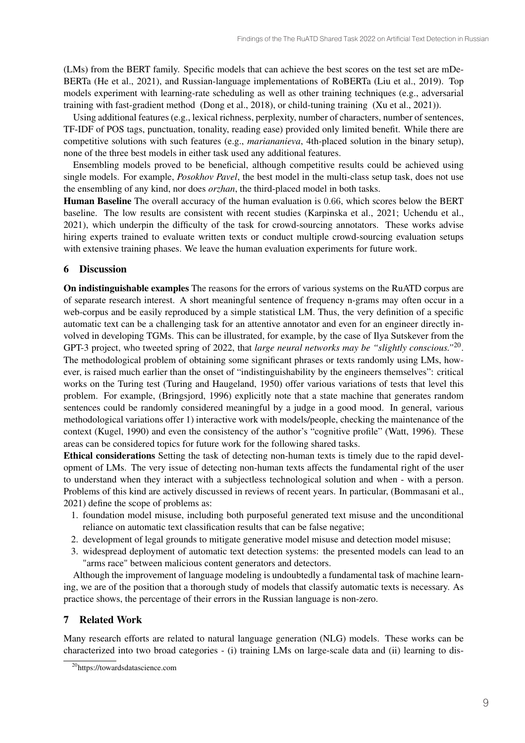(LMs) from the BERT family. Specific models that can achieve the best scores on the test set are mDe-BERTa (He et al., 2021), and Russian-language implementations of RoBERTa (Liu et al., 2019). Top models experiment with learning-rate scheduling as well as other training techniques (e.g., adversarial training with fast-gradient method (Dong et al., 2018), or child-tuning training (Xu et al., 2021)).

Using additional features (e.g., lexical richness, perplexity, number of characters, number of sentences, TF-IDF of POS tags, punctuation, tonality, reading ease) provided only limited benefit. While there are competitive solutions with such features (e.g., *mariananieva*, 4th-placed solution in the binary setup), none of the three best models in either task used any additional features.

Ensembling models proved to be beneficial, although competitive results could be achieved using single models. For example, *Posokhov Pavel*, the best model in the multi-class setup task, does not use the ensembling of any kind, nor does *orzhan*, the third-placed model in both tasks.

Human Baseline The overall accuracy of the human evaluation is 0.66, which scores below the BERT baseline. The low results are consistent with recent studies (Karpinska et al., 2021; Uchendu et al., 2021), which underpin the difficulty of the task for crowd-sourcing annotators. These works advise hiring experts trained to evaluate written texts or conduct multiple crowd-sourcing evaluation setups with extensive training phases. We leave the human evaluation experiments for future work.

## 6 Discussion

On indistinguishable examples The reasons for the errors of various systems on the RuATD corpus are of separate research interest. A short meaningful sentence of frequency n-grams may often occur in a web-corpus and be easily reproduced by a simple statistical LM. Thus, the very definition of a specific automatic text can be a challenging task for an attentive annotator and even for an engineer directly involved in developing TGMs. This can be illustrated, for example, by the case of Ilya Sutskever from the GPT-3 project, who tweeted spring of 2022, that *large neural networks may be "slightly conscious."*20. The methodological problem of obtaining some significant phrases or texts randomly using LMs, however, is raised much earlier than the onset of "indistinguishability by the engineers themselves": critical works on the Turing test (Turing and Haugeland, 1950) offer various variations of tests that level this problem. For example, (Bringsjord, 1996) explicitly note that a state machine that generates random sentences could be randomly considered meaningful by a judge in a good mood. In general, various methodological variations offer 1) interactive work with models/people, checking the maintenance of the context (Kugel, 1990) and even the consistency of the author's "cognitive profile" (Watt, 1996). These areas can be considered topics for future work for the following shared tasks.

Ethical considerations Setting the task of detecting non-human texts is timely due to the rapid development of LMs. The very issue of detecting non-human texts affects the fundamental right of the user to understand when they interact with a subjectless technological solution and when - with a person. Problems of this kind are actively discussed in reviews of recent years. In particular, (Bommasani et al., 2021) define the scope of problems as:

- 1. foundation model misuse, including both purposeful generated text misuse and the unconditional reliance on automatic text classification results that can be false negative;
- 2. development of legal grounds to mitigate generative model misuse and detection model misuse;
- 3. widespread deployment of automatic text detection systems: the presented models can lead to an "arms race" between malicious content generators and detectors.

Although the improvement of language modeling is undoubtedly a fundamental task of machine learning, we are of the position that a thorough study of models that classify automatic texts is necessary. As practice shows, the percentage of their errors in the Russian language is non-zero.

## 7 Related Work

Many research efforts are related to natural language generation (NLG) models. These works can be characterized into two broad categories - (i) training LMs on large-scale data and (ii) learning to dis-

<sup>20</sup>https://towardsdatascience.com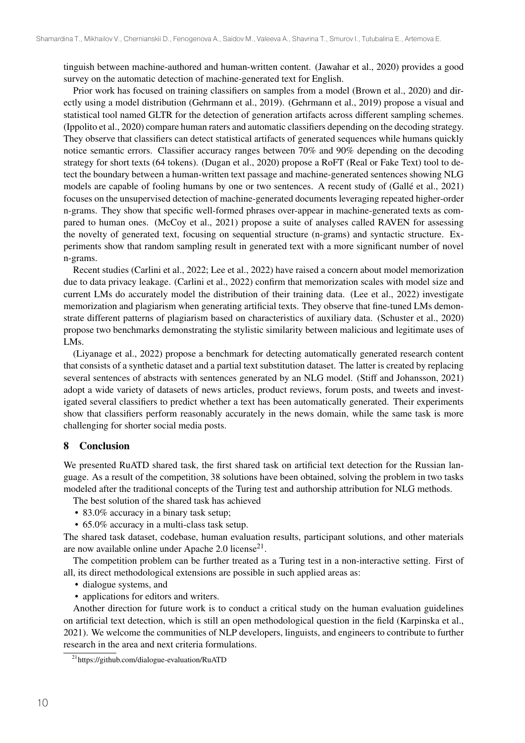tinguish between machine-authored and human-written content. (Jawahar et al., 2020) provides a good survey on the automatic detection of machine-generated text for English.

Prior work has focused on training classifiers on samples from a model (Brown et al., 2020) and directly using a model distribution (Gehrmann et al., 2019). (Gehrmann et al., 2019) propose a visual and statistical tool named GLTR for the detection of generation artifacts across different sampling schemes. (Ippolito et al., 2020) compare human raters and automatic classifiers depending on the decoding strategy. They observe that classifiers can detect statistical artifacts of generated sequences while humans quickly notice semantic errors. Classifier accuracy ranges between 70% and 90% depending on the decoding strategy for short texts (64 tokens). (Dugan et al., 2020) propose a RoFT (Real or Fake Text) tool to detect the boundary between a human-written text passage and machine-generated sentences showing NLG models are capable of fooling humans by one or two sentences. A recent study of (Gallé et al., 2021) focuses on the unsupervised detection of machine-generated documents leveraging repeated higher-order n-grams. They show that specific well-formed phrases over-appear in machine-generated texts as compared to human ones. (McCoy et al., 2021) propose a suite of analyses called RAVEN for assessing the novelty of generated text, focusing on sequential structure (n-grams) and syntactic structure. Experiments show that random sampling result in generated text with a more significant number of novel n-grams.

Recent studies (Carlini et al., 2022; Lee et al., 2022) have raised a concern about model memorization due to data privacy leakage. (Carlini et al., 2022) confirm that memorization scales with model size and current LMs do accurately model the distribution of their training data. (Lee et al., 2022) investigate memorization and plagiarism when generating artificial texts. They observe that fine-tuned LMs demonstrate different patterns of plagiarism based on characteristics of auxiliary data. (Schuster et al., 2020) propose two benchmarks demonstrating the stylistic similarity between malicious and legitimate uses of LMs.

(Liyanage et al., 2022) propose a benchmark for detecting automatically generated research content that consists of a synthetic dataset and a partial text substitution dataset. The latter is created by replacing several sentences of abstracts with sentences generated by an NLG model. (Stiff and Johansson, 2021) adopt a wide variety of datasets of news articles, product reviews, forum posts, and tweets and investigated several classifiers to predict whether a text has been automatically generated. Their experiments show that classifiers perform reasonably accurately in the news domain, while the same task is more challenging for shorter social media posts.

### 8 Conclusion

We presented RuATD shared task, the first shared task on artificial text detection for the Russian language. As a result of the competition, 38 solutions have been obtained, solving the problem in two tasks modeled after the traditional concepts of the Turing test and authorship attribution for NLG methods.

The best solution of the shared task has achieved

- 83.0% accuracy in a binary task setup;
- 65.0% accuracy in a multi-class task setup.

The shared task dataset, codebase, human evaluation results, participant solutions, and other materials are now available online under Apache  $2.0$  license<sup>21</sup>.

The competition problem can be further treated as a Turing test in a non-interactive setting. First of all, its direct methodological extensions are possible in such applied areas as:

- dialogue systems, and
- applications for editors and writers.

Another direction for future work is to conduct a critical study on the human evaluation guidelines on artificial text detection, which is still an open methodological question in the field (Karpinska et al., 2021). We welcome the communities of NLP developers, linguists, and engineers to contribute to further research in the area and next criteria formulations.

<sup>21</sup>https://github.com/dialogue-evaluation/RuATD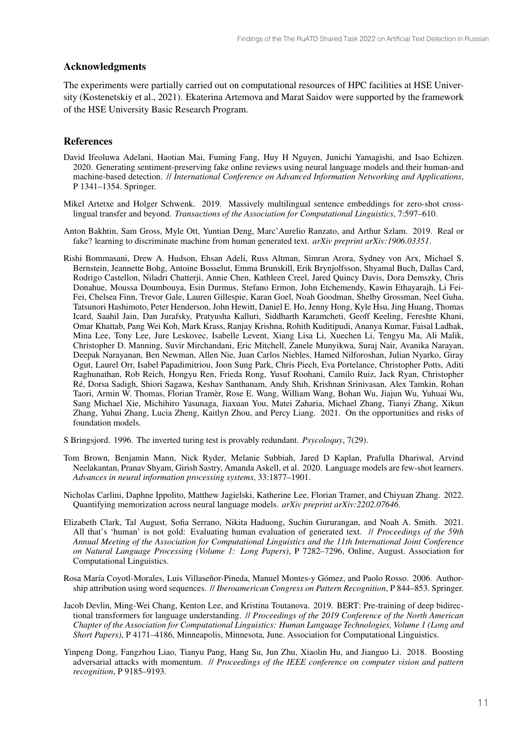### Acknowledgments

The experiments were partially carried out on computational resources of HPC facilities at HSE University (Kostenetskiy et al., 2021). Ekaterina Artemova and Marat Saidov were supported by the framework of the HSE University Basic Research Program.

#### References

- David Ifeoluwa Adelani, Haotian Mai, Fuming Fang, Huy H Nguyen, Junichi Yamagishi, and Isao Echizen. 2020. Generating sentiment-preserving fake online reviews using neural language models and their human-and machine-based detection. // *International Conference on Advanced Information Networking and Applications*, P 1341–1354. Springer.
- Mikel Artetxe and Holger Schwenk. 2019. Massively multilingual sentence embeddings for zero-shot crosslingual transfer and beyond. *Transactions of the Association for Computational Linguistics*, 7:597–610.
- Anton Bakhtin, Sam Gross, Myle Ott, Yuntian Deng, Marc'Aurelio Ranzato, and Arthur Szlam. 2019. Real or fake? learning to discriminate machine from human generated text. *arXiv preprint arXiv:1906.03351*.
- Rishi Bommasani, Drew A. Hudson, Ehsan Adeli, Russ Altman, Simran Arora, Sydney von Arx, Michael S. Bernstein, Jeannette Bohg, Antoine Bosselut, Emma Brunskill, Erik Brynjolfsson, Shyamal Buch, Dallas Card, Rodrigo Castellon, Niladri Chatterji, Annie Chen, Kathleen Creel, Jared Quincy Davis, Dora Demszky, Chris Donahue, Moussa Doumbouya, Esin Durmus, Stefano Ermon, John Etchemendy, Kawin Ethayarajh, Li Fei-Fei, Chelsea Finn, Trevor Gale, Lauren Gillespie, Karan Goel, Noah Goodman, Shelby Grossman, Neel Guha, Tatsunori Hashimoto, Peter Henderson, John Hewitt, Daniel E. Ho, Jenny Hong, Kyle Hsu, Jing Huang, Thomas Icard, Saahil Jain, Dan Jurafsky, Pratyusha Kalluri, Siddharth Karamcheti, Geoff Keeling, Fereshte Khani, Omar Khattab, Pang Wei Koh, Mark Krass, Ranjay Krishna, Rohith Kuditipudi, Ananya Kumar, Faisal Ladhak, Mina Lee, Tony Lee, Jure Leskovec, Isabelle Levent, Xiang Lisa Li, Xuechen Li, Tengyu Ma, Ali Malik, Christopher D. Manning, Suvir Mirchandani, Eric Mitchell, Zanele Munyikwa, Suraj Nair, Avanika Narayan, Deepak Narayanan, Ben Newman, Allen Nie, Juan Carlos Niebles, Hamed Nilforoshan, Julian Nyarko, Giray Ogut, Laurel Orr, Isabel Papadimitriou, Joon Sung Park, Chris Piech, Eva Portelance, Christopher Potts, Aditi Raghunathan, Rob Reich, Hongyu Ren, Frieda Rong, Yusuf Roohani, Camilo Ruiz, Jack Ryan, Christopher Ré, Dorsa Sadigh, Shiori Sagawa, Keshav Santhanam, Andy Shih, Krishnan Srinivasan, Alex Tamkin, Rohan Taori, Armin W. Thomas, Florian Tramèr, Rose E. Wang, William Wang, Bohan Wu, Jiajun Wu, Yuhuai Wu, Sang Michael Xie, Michihiro Yasunaga, Jiaxuan You, Matei Zaharia, Michael Zhang, Tianyi Zhang, Xikun Zhang, Yuhui Zhang, Lucia Zheng, Kaitlyn Zhou, and Percy Liang. 2021. On the opportunities and risks of foundation models.
- S Bringsjord. 1996. The inverted turing test is provably redundant. *Psycoloquy*, 7(29).
- Tom Brown, Benjamin Mann, Nick Ryder, Melanie Subbiah, Jared D Kaplan, Prafulla Dhariwal, Arvind Neelakantan, Pranav Shyam, Girish Sastry, Amanda Askell, et al. 2020. Language models are few-shot learners. *Advances in neural information processing systems*, 33:1877–1901.
- Nicholas Carlini, Daphne Ippolito, Matthew Jagielski, Katherine Lee, Florian Tramer, and Chiyuan Zhang. 2022. Quantifying memorization across neural language models. *arXiv preprint arXiv:2202.07646*.
- Elizabeth Clark, Tal August, Sofia Serrano, Nikita Haduong, Suchin Gururangan, and Noah A. Smith. 2021. All that's 'human' is not gold: Evaluating human evaluation of generated text. // *Proceedings of the 59th Annual Meeting of the Association for Computational Linguistics and the 11th International Joint Conference on Natural Language Processing (Volume 1: Long Papers)*, P 7282–7296, Online, August. Association for Computational Linguistics.
- Rosa María Coyotl-Morales, Luis Villaseñor-Pineda, Manuel Montes-y Gómez, and Paolo Rosso. 2006. Authorship attribution using word sequences. // *Iberoamerican Congress on Pattern Recognition*, P 844–853. Springer.
- Jacob Devlin, Ming-Wei Chang, Kenton Lee, and Kristina Toutanova. 2019. BERT: Pre-training of deep bidirectional transformers for language understanding. // *Proceedings of the 2019 Conference of the North American Chapter of the Association for Computational Linguistics: Human Language Technologies, Volume 1 (Long and Short Papers)*, P 4171–4186, Minneapolis, Minnesota, June. Association for Computational Linguistics.
- Yinpeng Dong, Fangzhou Liao, Tianyu Pang, Hang Su, Jun Zhu, Xiaolin Hu, and Jianguo Li. 2018. Boosting adversarial attacks with momentum. // *Proceedings of the IEEE conference on computer vision and pattern recognition*, P 9185–9193.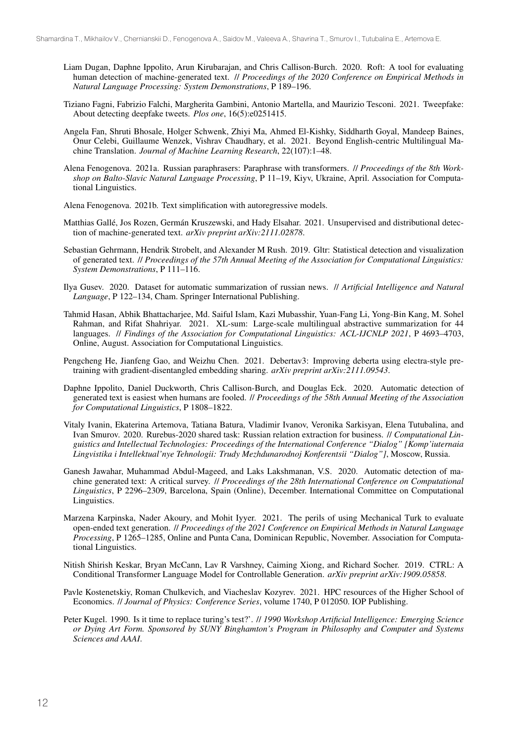- Liam Dugan, Daphne Ippolito, Arun Kirubarajan, and Chris Callison-Burch. 2020. Roft: A tool for evaluating human detection of machine-generated text. // *Proceedings of the 2020 Conference on Empirical Methods in Natural Language Processing: System Demonstrations*, P 189–196.
- Tiziano Fagni, Fabrizio Falchi, Margherita Gambini, Antonio Martella, and Maurizio Tesconi. 2021. Tweepfake: About detecting deepfake tweets. *Plos one*, 16(5):e0251415.
- Angela Fan, Shruti Bhosale, Holger Schwenk, Zhiyi Ma, Ahmed El-Kishky, Siddharth Goyal, Mandeep Baines, Onur Celebi, Guillaume Wenzek, Vishrav Chaudhary, et al. 2021. Beyond English-centric Multilingual Machine Translation. *Journal of Machine Learning Research*, 22(107):1–48.
- Alena Fenogenova. 2021a. Russian paraphrasers: Paraphrase with transformers. // *Proceedings of the 8th Workshop on Balto-Slavic Natural Language Processing*, P 11–19, Kiyv, Ukraine, April. Association for Computational Linguistics.
- Alena Fenogenova. 2021b. Text simplification with autoregressive models.
- Matthias Gallé, Jos Rozen, Germán Kruszewski, and Hady Elsahar. 2021. Unsupervised and distributional detection of machine-generated text. *arXiv preprint arXiv:2111.02878*.
- Sebastian Gehrmann, Hendrik Strobelt, and Alexander M Rush. 2019. Gltr: Statistical detection and visualization of generated text. // *Proceedings of the 57th Annual Meeting of the Association for Computational Linguistics: System Demonstrations*, P 111–116.
- Ilya Gusev. 2020. Dataset for automatic summarization of russian news. // *Artificial Intelligence and Natural Language*, P 122–134, Cham. Springer International Publishing.
- Tahmid Hasan, Abhik Bhattacharjee, Md. Saiful Islam, Kazi Mubasshir, Yuan-Fang Li, Yong-Bin Kang, M. Sohel Rahman, and Rifat Shahriyar. 2021. XL-sum: Large-scale multilingual abstractive summarization for 44 languages. // *Findings of the Association for Computational Linguistics: ACL-IJCNLP 2021*, P 4693–4703, Online, August. Association for Computational Linguistics.
- Pengcheng He, Jianfeng Gao, and Weizhu Chen. 2021. Debertav3: Improving deberta using electra-style pretraining with gradient-disentangled embedding sharing. *arXiv preprint arXiv:2111.09543*.
- Daphne Ippolito, Daniel Duckworth, Chris Callison-Burch, and Douglas Eck. 2020. Automatic detection of generated text is easiest when humans are fooled. // *Proceedings of the 58th Annual Meeting of the Association for Computational Linguistics*, P 1808–1822.
- Vitaly Ivanin, Ekaterina Artemova, Tatiana Batura, Vladimir Ivanov, Veronika Sarkisyan, Elena Tutubalina, and Ivan Smurov. 2020. Rurebus-2020 shared task: Russian relation extraction for business. // *Computational Linguistics and Intellectual Technologies: Proceedings of the International Conference "Dialog" [Komp'iuternaia Lingvistika i Intellektual'nye Tehnologii: Trudy Mezhdunarodnoj Konferentsii "Dialog"]*, Moscow, Russia.
- Ganesh Jawahar, Muhammad Abdul-Mageed, and Laks Lakshmanan, V.S. 2020. Automatic detection of machine generated text: A critical survey. // *Proceedings of the 28th International Conference on Computational Linguistics*, P 2296–2309, Barcelona, Spain (Online), December. International Committee on Computational Linguistics.
- Marzena Karpinska, Nader Akoury, and Mohit Iyyer. 2021. The perils of using Mechanical Turk to evaluate open-ended text generation. // *Proceedings of the 2021 Conference on Empirical Methods in Natural Language Processing*, P 1265–1285, Online and Punta Cana, Dominican Republic, November. Association for Computational Linguistics.
- Nitish Shirish Keskar, Bryan McCann, Lav R Varshney, Caiming Xiong, and Richard Socher. 2019. CTRL: A Conditional Transformer Language Model for Controllable Generation. *arXiv preprint arXiv:1909.05858*.
- Pavle Kostenetskiy, Roman Chulkevich, and Viacheslav Kozyrev. 2021. HPC resources of the Higher School of Economics. // *Journal of Physics: Conference Series*, volume 1740, P 012050. IOP Publishing.
- Peter Kugel. 1990. Is it time to replace turing's test?'. // *1990 Workshop Artificial Intelligence: Emerging Science or Dying Art Form. Sponsored by SUNY Binghamton's Program in Philosophy and Computer and Systems Sciences and AAAI*.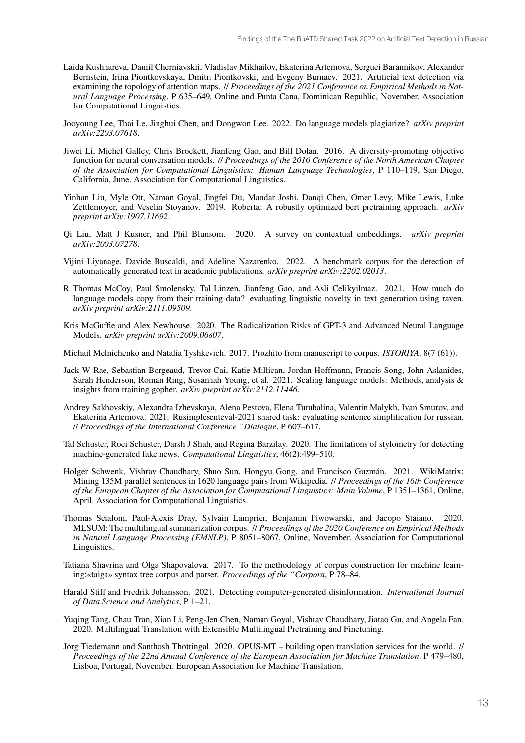- Laida Kushnareva, Daniil Cherniavskii, Vladislav Mikhailov, Ekaterina Artemova, Serguei Barannikov, Alexander Bernstein, Irina Piontkovskaya, Dmitri Piontkovski, and Evgeny Burnaev. 2021. Artificial text detection via examining the topology of attention maps. // *Proceedings of the 2021 Conference on Empirical Methods in Natural Language Processing*, P 635–649, Online and Punta Cana, Dominican Republic, November. Association for Computational Linguistics.
- Jooyoung Lee, Thai Le, Jinghui Chen, and Dongwon Lee. 2022. Do language models plagiarize? *arXiv preprint arXiv:2203.07618*.
- Jiwei Li, Michel Galley, Chris Brockett, Jianfeng Gao, and Bill Dolan. 2016. A diversity-promoting objective function for neural conversation models. // *Proceedings of the 2016 Conference of the North American Chapter of the Association for Computational Linguistics: Human Language Technologies*, P 110–119, San Diego, California, June. Association for Computational Linguistics.
- Yinhan Liu, Myle Ott, Naman Goyal, Jingfei Du, Mandar Joshi, Danqi Chen, Omer Levy, Mike Lewis, Luke Zettlemoyer, and Veselin Stoyanov. 2019. Roberta: A robustly optimized bert pretraining approach. *arXiv preprint arXiv:1907.11692*.
- Qi Liu, Matt J Kusner, and Phil Blunsom. 2020. A survey on contextual embeddings. *arXiv preprint arXiv:2003.07278*.
- Vijini Liyanage, Davide Buscaldi, and Adeline Nazarenko. 2022. A benchmark corpus for the detection of automatically generated text in academic publications. *arXiv preprint arXiv:2202.02013*.
- R Thomas McCoy, Paul Smolensky, Tal Linzen, Jianfeng Gao, and Asli Celikyilmaz. 2021. How much do language models copy from their training data? evaluating linguistic novelty in text generation using raven. *arXiv preprint arXiv:2111.09509*.
- Kris McGuffie and Alex Newhouse. 2020. The Radicalization Risks of GPT-3 and Advanced Neural Language Models. *arXiv preprint arXiv:2009.06807*.

Michail Melnichenko and Natalia Tyshkevich. 2017. Prozhito from manuscript to corpus. *ISTORIYA*, 8(7 (61)).

- Jack W Rae, Sebastian Borgeaud, Trevor Cai, Katie Millican, Jordan Hoffmann, Francis Song, John Aslanides, Sarah Henderson, Roman Ring, Susannah Young, et al. 2021. Scaling language models: Methods, analysis & insights from training gopher. *arXiv preprint arXiv:2112.11446*.
- Andrey Sakhovskiy, Alexandra Izhevskaya, Alena Pestova, Elena Tutubalina, Valentin Malykh, Ivan Smurov, and Ekaterina Artemova. 2021. Rusimplesenteval-2021 shared task: evaluating sentence simplification for russian. // *Proceedings of the International Conference "Dialogue*, P 607–617.
- Tal Schuster, Roei Schuster, Darsh J Shah, and Regina Barzilay. 2020. The limitations of stylometry for detecting machine-generated fake news. *Computational Linguistics*, 46(2):499–510.
- Holger Schwenk, Vishrav Chaudhary, Shuo Sun, Hongyu Gong, and Francisco Guzmán. 2021. WikiMatrix: Mining 135M parallel sentences in 1620 language pairs from Wikipedia. // *Proceedings of the 16th Conference of the European Chapter of the Association for Computational Linguistics: Main Volume*, P 1351–1361, Online, April. Association for Computational Linguistics.
- Thomas Scialom, Paul-Alexis Dray, Sylvain Lamprier, Benjamin Piwowarski, and Jacopo Staiano. 2020. MLSUM: The multilingual summarization corpus. // *Proceedings of the 2020 Conference on Empirical Methods in Natural Language Processing (EMNLP)*, P 8051–8067, Online, November. Association for Computational Linguistics.
- Tatiana Shavrina and Olga Shapovalova. 2017. To the methodology of corpus construction for machine learning:«taiga» syntax tree corpus and parser. *Proceedings of the "Corpora*, P 78–84.
- Harald Stiff and Fredrik Johansson. 2021. Detecting computer-generated disinformation. *International Journal of Data Science and Analytics*, P 1–21.
- Yuqing Tang, Chau Tran, Xian Li, Peng-Jen Chen, Naman Goyal, Vishrav Chaudhary, Jiatao Gu, and Angela Fan. 2020. Multilingual Translation with Extensible Multilingual Pretraining and Finetuning.
- Jörg Tiedemann and Santhosh Thottingal. 2020. OPUS-MT building open translation services for the world. // *Proceedings of the 22nd Annual Conference of the European Association for Machine Translation*, P 479–480, Lisboa, Portugal, November. European Association for Machine Translation.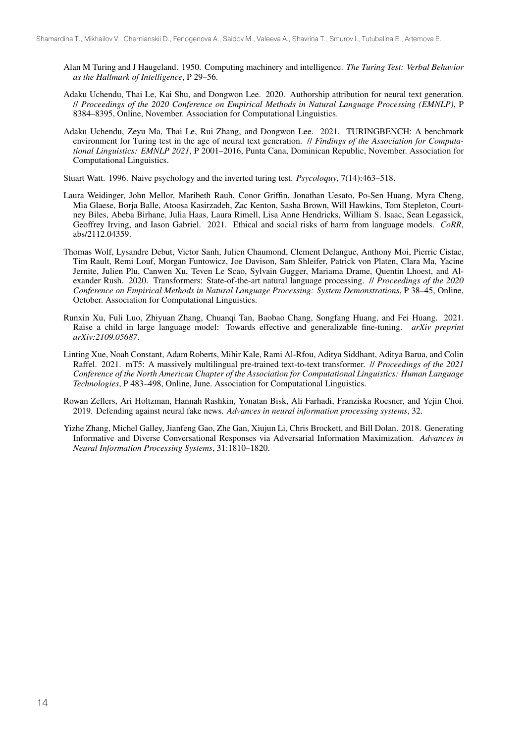- Alan M Turing and J Haugeland. 1950. Computing machinery and intelligence. *The Turing Test: Verbal Behavior as the Hallmark of Intelligence*, P 29–56.
- Adaku Uchendu, Thai Le, Kai Shu, and Dongwon Lee. 2020. Authorship attribution for neural text generation. // *Proceedings of the 2020 Conference on Empirical Methods in Natural Language Processing (EMNLP)*, P 8384–8395, Online, November. Association for Computational Linguistics.
- Adaku Uchendu, Zeyu Ma, Thai Le, Rui Zhang, and Dongwon Lee. 2021. TURINGBENCH: A benchmark environment for Turing test in the age of neural text generation. // *Findings of the Association for Computational Linguistics: EMNLP 2021*, P 2001–2016, Punta Cana, Dominican Republic, November. Association for Computational Linguistics.

Stuart Watt. 1996. Naive psychology and the inverted turing test. *Psycoloquy*, 7(14):463–518.

- Laura Weidinger, John Mellor, Maribeth Rauh, Conor Griffin, Jonathan Uesato, Po-Sen Huang, Myra Cheng, Mia Glaese, Borja Balle, Atoosa Kasirzadeh, Zac Kenton, Sasha Brown, Will Hawkins, Tom Stepleton, Courtney Biles, Abeba Birhane, Julia Haas, Laura Rimell, Lisa Anne Hendricks, William S. Isaac, Sean Legassick, Geoffrey Irving, and Iason Gabriel. 2021. Ethical and social risks of harm from language models. *CoRR*, abs/2112.04359.
- Thomas Wolf, Lysandre Debut, Victor Sanh, Julien Chaumond, Clement Delangue, Anthony Moi, Pierric Cistac, Tim Rault, Remi Louf, Morgan Funtowicz, Joe Davison, Sam Shleifer, Patrick von Platen, Clara Ma, Yacine Jernite, Julien Plu, Canwen Xu, Teven Le Scao, Sylvain Gugger, Mariama Drame, Quentin Lhoest, and Alexander Rush. 2020. Transformers: State-of-the-art natural language processing. // *Proceedings of the 2020 Conference on Empirical Methods in Natural Language Processing: System Demonstrations*, P 38–45, Online, October. Association for Computational Linguistics.
- Runxin Xu, Fuli Luo, Zhiyuan Zhang, Chuanqi Tan, Baobao Chang, Songfang Huang, and Fei Huang. 2021. Raise a child in large language model: Towards effective and generalizable fine-tuning. *arXiv preprint arXiv:2109.05687*.
- Linting Xue, Noah Constant, Adam Roberts, Mihir Kale, Rami Al-Rfou, Aditya Siddhant, Aditya Barua, and Colin Raffel. 2021. mT5: A massively multilingual pre-trained text-to-text transformer. // *Proceedings of the 2021 Conference of the North American Chapter of the Association for Computational Linguistics: Human Language Technologies*, P 483–498, Online, June. Association for Computational Linguistics.
- Rowan Zellers, Ari Holtzman, Hannah Rashkin, Yonatan Bisk, Ali Farhadi, Franziska Roesner, and Yejin Choi. 2019. Defending against neural fake news. *Advances in neural information processing systems*, 32.
- Yizhe Zhang, Michel Galley, Jianfeng Gao, Zhe Gan, Xiujun Li, Chris Brockett, and Bill Dolan. 2018. Generating Informative and Diverse Conversational Responses via Adversarial Information Maximization. *Advances in Neural Information Processing Systems*, 31:1810–1820.